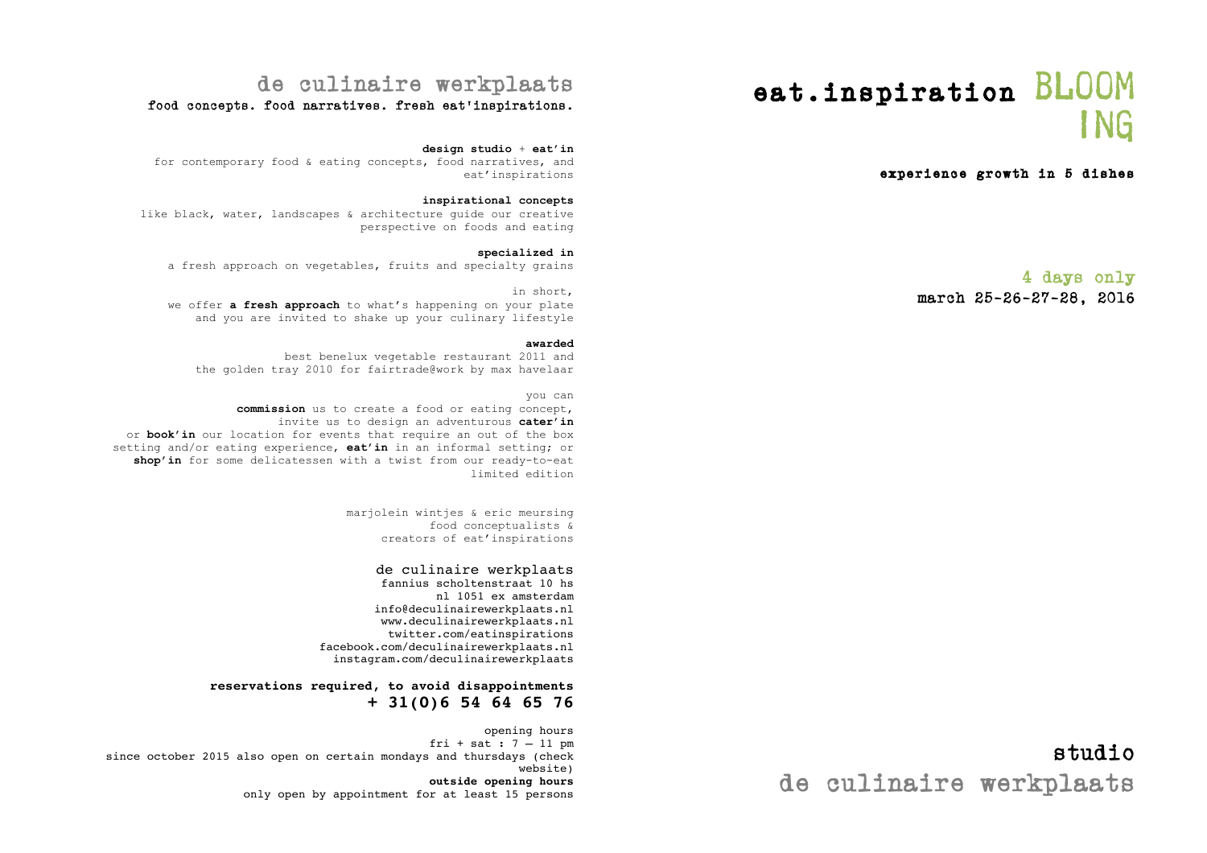# eat.inspiration BLOOM ing

#### experience growth in 5 dishes

#### 4 days only march 25-26-27-28, 2016

# de culinaire werkplaats

#### food concepts. food narratives. fresh eat'inspirations.

#### **design studio** + **eat'in**

for contemporary food & eating concepts, food narratives, and eat'inspirations

#### **inspirational concepts**

like black, water, landscapes & architecture guide our creative perspective on foods and eating

#### **specialized in**

a fresh approach on vegetables, fruits and specialty grains

#### in short, we offer **a fresh approach** to what's happening on your plate and you are invited to shake up your culinary lifestyle

#### **awarded**

best benelux vegetable restaurant 2011 and the golden tray 2010 for fairtrade@work by max havelaar

#### you can

**commission** us to create a food or eating concept, invite us to design an adventurous **cater'in** or **book'in** our location for events that require an out of the box setting and/or eating experience, **eat'in** in an informal setting; or **shop'in** for some delicatessen with a twist from our ready-to-eat limited edition

> marjolein wintjes & eric meursing food conceptualists & creators of eat'inspirations

#### de culinaire werkplaats

fannius scholtenstraat 10 hs nl 1051 ex amsterdam info@deculinairewerkplaats.nl www.deculinairewerkplaats.nl twitter.com/eatinspirations facebook.com/deculinairewerkplaats.nl instagram.com/deculinairewerkplaats

#### **reservations required, to avoid disappointments + 31(0)6 54 64 65 76**

opening hours fri + sat : 7 – 11 pm since october 2015 also open on certain mondays and thursdays (check website) **outside opening hours**  only open by appointment for at least 15 persons

studio de culinaire werkplaats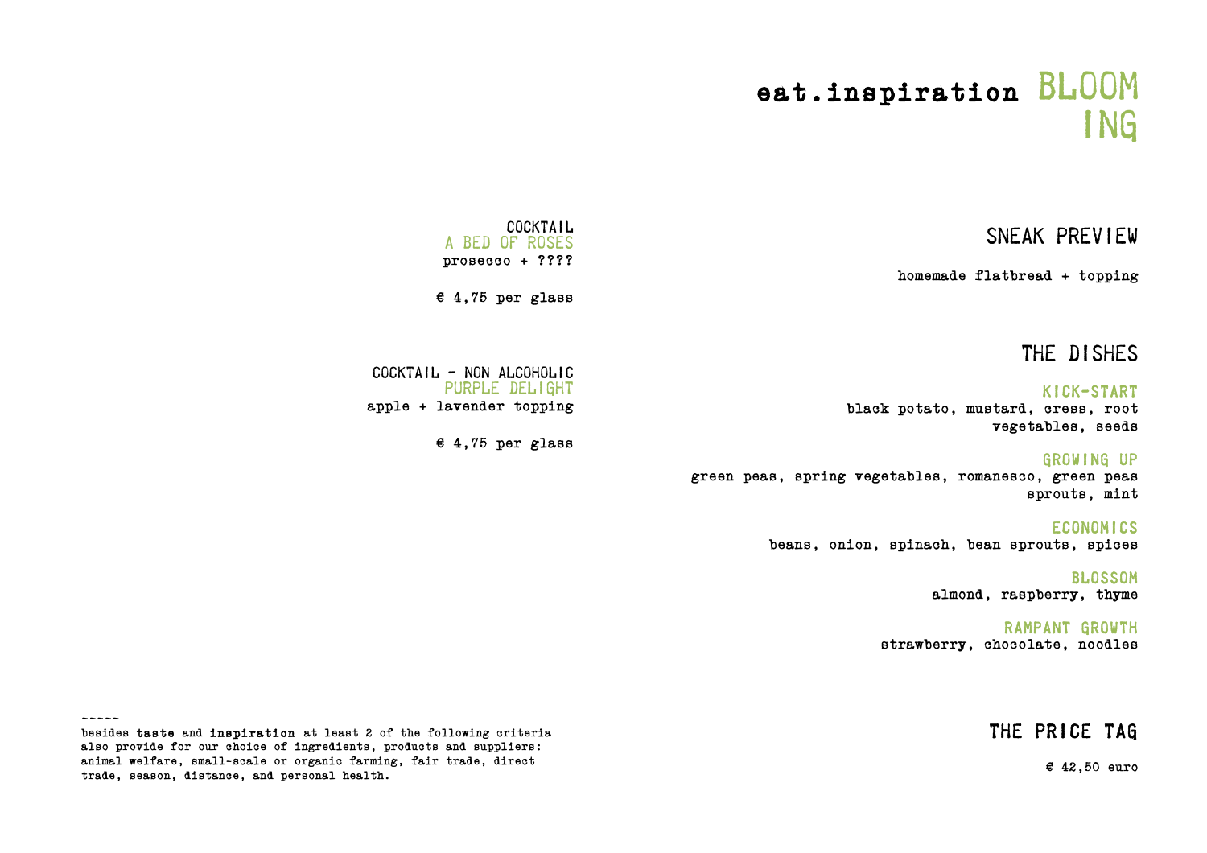# eat.inspiration BLOOM **ING**

## sneak preview

homemade flatbread + topping

### the dishes

#### kick-start black potato, mustard, cress, root vegetables, seeds

growing up green peas, spring vegetables, romanesco, green peas sprouts, mint

#### **ECONOMICS** beans, onion, spinach, bean sprouts, spices

blossom almond, raspberry, thyme

#### rampant growth strawberry, chocolate, noodles

### the price tag

 $£ 42,50$  euro

**COCKTAIL** A BED OF ROSES<br>prosecco + ????

 $£ 4,75$  per glass

Cocktail - non alcoholic Purple delight apple + lavender topping

 $£ 4,75$  per glass

-----

besides taste and inspiration at least 2 of the following criteria also provide for our choice of ingredients, products and suppliers: animal welfare, small-scale or organic farming, fair trade, direct trade, season, distance, and personal health.